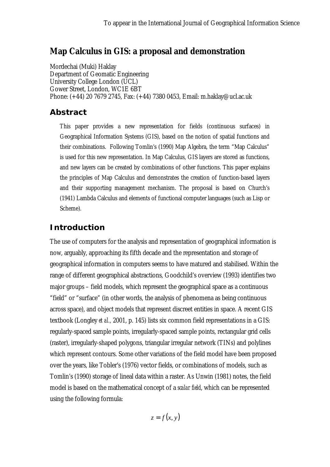## **Map Calculus in GIS: a proposal and demonstration**

Mordechai (Muki) Haklay Department of Geomatic Engineering University College London (UCL) Gower Street, London, WC1E 6BT Phone: (+44) 20 7679 2745, Fax: (+44) 7380 0453, Email: m.haklay@ucl.ac.uk

#### *Abstract*

This paper provides a new representation for fields (continuous surfaces) in Geographical Information Systems (GIS), based on the notion of spatial functions and their combinations. Following Tomlin's (1990) Map Algebra, the term "Map Calculus" is used for this new representation. In Map Calculus, GIS layers are stored as functions, and new layers can be created by combinations of other functions. This paper explains the principles of Map Calculus and demonstrates the creation of function-based layers and their supporting management mechanism. The proposal is based on Church's (1941) Lambda Calculus and elements of functional computer languages (such as Lisp or Scheme).

### *Introduction*

The use of computers for the analysis and representation of geographical information is now, arguably, approaching its fifth decade and the representation and storage of geographical information in computers seems to have matured and stabilised. Within the range of different geographical abstractions, Goodchild's overview (1993) identifies two major groups – field models, which represent the geographical space as a continuous "field" or "surface" (in other words, the analysis of phenomena as being continuous across space), and object models that represent discreet entities in space. A recent GIS textbook (Longley *et al.,* 2001, p. 145) lists six common field representations in a GIS: regularly-spaced sample points, irregularly-spaced sample points, rectangular grid cells (raster), irregularly-shaped polygons, triangular irregular network (TINs) and polylines which represent contours. Some other variations of the field model have been proposed over the years, like Tobler's (1976) vector fields, or combinations of models, such as Tomlin's (1990) storage of lineal data within a raster. As Unwin (1981) notes, the field model is based on the mathematical concept of a *scalar field*, which can be represented using the following formula:

 $z = f(x, y)$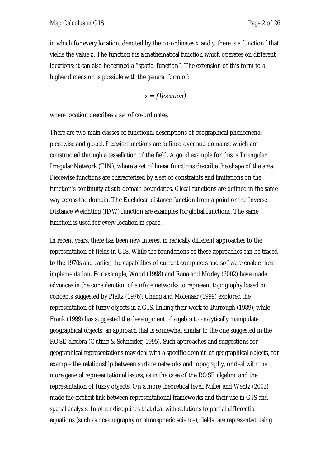in which for every location, denoted by the co-ordinates *x* and *y*, there is a function *f* that yields the value *z*. The function *f* is a mathematical function which operates on different locations; it can also be termed a "spatial function". The extension of this form to a higher dimension is possible with the general form of:

 $z = f (location)$ 

where location describes a set of co-ordinates.

There are two main classes of functional descriptions of geographical phenomena: piecewise and global. *Piecewise* functions are defined over sub-domains, which are constructed through a tessellation of the field. A good example for this is Triangular Irregular Network (TIN), where a set of linear functions describe the shape of the area. Piecewise functions are characterised by a set of constraints and limitations on the function's continuity at sub-domain boundaries. *Global* functions are defined in the same way across the domain. The Euclidean distance function from a point or the Inverse Distance Weighting (IDW) function are examples for global functions. The same function is used for every location in space.

In recent years, there has been new interest in radically different approaches to the representation of fields in GIS. While the foundations of these approaches can be traced to the 1970s and earlier, the capabilities of current computers and software enable their implementation. For example, Wood (1998) and Rana and Morley (2002) have made advances in the consideration of surface networks to represent topography based on concepts suggested by Pfaltz (1976); Cheng and Molenaar (1999) explored the representation of fuzzy objects in a GIS, linking their work to Burrough (1989); while Frank (1999) has suggested the development of algebra to analytically manipulate geographical objects, an approach that is somewhat similar to the one suggested in the ROSE algebra (Guting & Schneider, 1995). Such approaches and suggestions for geographical representations may deal with a specific domain of geographical objects, for example the relationship between surface networks and topography, or deal with the more general representational issues, as in the case of the ROSE algebra, and the representation of fuzzy objects. On a more theoretical level, Miller and Wentz (2003) made the explicit link between representational frameworks and their use in GIS and spatial analysis. In other disciplines that deal with solutions to partial differential equations (such as oceanography or atmospheric science), fields are represented using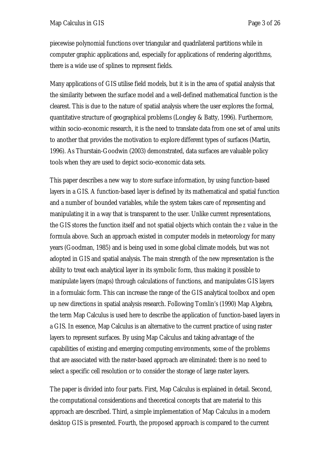piecewise polynomial functions over triangular and quadrilateral partitions while in computer graphic applications and, especially for applications of rendering algorithms, there is a wide use of splines to represent fields.

Many applications of GIS utilise field models, but it is in the area of spatial analysis that the similarity between the surface model and a well-defined mathematical function is the clearest. This is due to the nature of spatial analysis where the user explores the formal, quantitative structure of geographical problems (Longley & Batty, 1996). Furthermore, within socio-economic research, it is the need to translate data from one set of areal units to another that provides the motivation to explore different types of surfaces (Martin, 1996). As Thurstain-Goodwin (2003) demonstrated, data surfaces are valuable policy tools when they are used to depict socio-economic data sets.

This paper describes a new way to store surface information, by using function-based layers in a GIS. A function-based layer is defined by its mathematical and spatial function and a number of bounded variables, while the system takes care of representing and manipulating it in a way that is transparent to the user. Unlike current representations, the GIS stores the function itself and not spatial objects which contain the *z* value in the formula above. Such an approach existed in computer models in meteorology for many years (Goodman, 1985) and is being used in some global climate models, but was not adopted in GIS and spatial analysis. The main strength of the new representation is the ability to treat each analytical layer in its symbolic form, thus making it possible to manipulate layers (maps) through calculations of functions, and manipulates GIS layers in a formulaic form. This can increase the range of the GIS analytical toolbox and open up new directions in spatial analysis research. Following Tomlin's (1990) Map Algebra, the term Map Calculus is used here to describe the application of function-based layers in a GIS. In essence, Map Calculus is an alternative to the current practice of using raster layers to represent surfaces. By using Map Calculus and taking advantage of the capabilities of existing and emerging computing environments, some of the problems that are associated with the raster-based approach are eliminated: there is no need to select a specific cell resolution or to consider the storage of large raster layers.

The paper is divided into four parts. First, Map Calculus is explained in detail. Second, the computational considerations and theoretical concepts that are material to this approach are described. Third, a simple implementation of Map Calculus in a modern desktop GIS is presented. Fourth, the proposed approach is compared to the current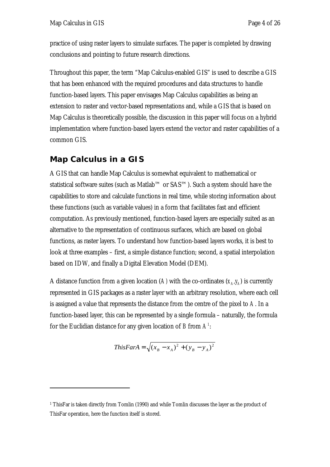practice of using raster layers to simulate surfaces. The paper is completed by drawing conclusions and pointing to future research directions.

Throughout this paper, the term "Map Calculus-enabled GIS" is used to describe a GIS that has been enhanced with the required procedures and data structures to handle function-based layers. This paper envisages Map Calculus capabilities as being an extension to raster and vector-based representations and, while a GIS that is based on Map Calculus is theoretically possible, the discussion in this paper will focus on a hybrid implementation where function-based layers extend the vector and raster capabilities of a common GIS.

## *Map Calculus in a GIS*

 $\overline{a}$ 

A GIS that can handle Map Calculus is somewhat equivalent to mathematical or statistical software suites (such as Matlab™ or SAS™). Such a system should have the capabilities to store and calculate functions in real time, while storing information about these functions (such as variable values) in a form that facilitates fast and efficient computation. As previously mentioned, function-based layers are especially suited as an alternative to the representation of continuous surfaces, which are based on global functions, as raster layers. To understand how function-based layers works, it is best to look at three examples – first, a simple distance function; second, a spatial interpolation based on IDW, and finally a Digital Elevation Model (DEM).

A distance function from a given location (A) with the co-ordinates  $(x_A, y_A)$  is currently represented in GIS packages as a raster layer with an arbitrary resolution, where each cell is assigned a value that represents the distance from the centre of the pixel to *A*. In a function-based layer, this can be represented by a single formula – naturally, the formula for the Euclidian distance for any given location of *B* from *A1* :

*ThisFarA* = 
$$
\sqrt{(x_B - x_A)^2 + (y_B - y_A)^2}
$$

<sup>1</sup> ThisFar is taken directly from Tomlin (1990) and while Tomlin discusses the layer as the product of ThisFar operation, here the function itself is stored.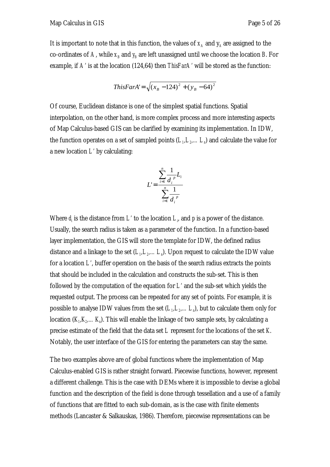*ThisFarA*' = 
$$
\sqrt{(x_B - 124)^2 + (y_B - 64)^2}
$$

Of course, Euclidean distance is one of the simplest spatial functions. Spatial interpolation, on the other hand, is more complex process and more interesting aspects of Map Calculus-based GIS can be clarified by examining its implementation. In IDW, the function operates on a set of sampled points  $(L<sub>1</sub>, L<sub>2</sub>,...L<sub>n</sub>)$  and calculate the value for a new location *L'* by calculating:

$$
L' = \frac{\sum_{i=1}^{n} \frac{1}{d_i^{p}} L_i}{\sum_{i=1}^{n} \frac{1}{d_i^{p}}}
$$

Where  $d_i$  is the distance from  $L$  *to the location*  $L_i$  and  $p$  is a power of the distance. Usually, the search radius is taken as a parameter of the function. In a function-based layer implementation, the GIS will store the template for IDW, the defined radius distance and a linkage to the set  $(L_1, L_2, \ldots, L_n)$ . Upon request to calculate the IDW value for a location *L'*, buffer operation on the basis of the search radius extracts the points that should be included in the calculation and constructs the sub-set. This is then followed by the computation of the equation for *L'* and the sub-set which yields the requested output. The process can be repeated for any set of points. For example, it is possible to analyse IDW values from the set  $(L<sub>n</sub>, L<sub>n</sub>, L<sub>n</sub>)$ , but to calculate them only for location  $(K_n,K_n...K_n)$ . This will enable the linkage of two sample sets, by calculating a precise estimate of the field that the data set *L* represent for the locations of the set *K*. Notably, the user interface of the GIS for entering the parameters can stay the same.

The two examples above are of global functions where the implementation of Map Calculus-enabled GIS is rather straight forward. Piecewise functions, however, represent a different challenge. This is the case with DEMs where it is impossible to devise a global function and the description of the field is done through tessellation and a use of a family of functions that are fitted to each sub-domain, as is the case with finite elements methods (Lancaster & Salkauskas, 1986). Therefore, piecewise representations can be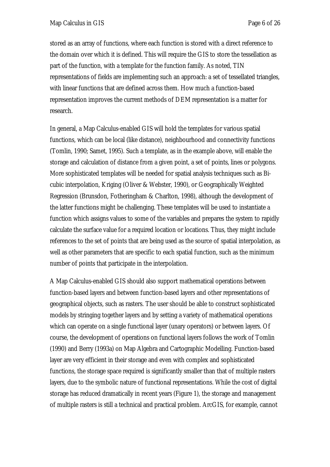stored as an array of functions, where each function is stored with a direct reference to the domain over which it is defined. This will require the GIS to store the tessellation as part of the function, with a template for the function family. As noted, TIN representations of fields are implementing such an approach: a set of tessellated triangles, with linear functions that are defined across them. How much a function-based representation improves the current methods of DEM representation is a matter for research.

In general, a Map Calculus-enabled GIS will hold the templates for various spatial functions, which can be local (like distance), neighbourhood and connectivity functions (Tomlin, 1990; Samet, 1995). Such a template, as in the example above, will enable the storage and calculation of distance from a given point, a set of points, lines or polygons. More sophisticated templates will be needed for spatial analysis techniques such as Bicubic interpolation, Kriging (Oliver & Webster, 1990), or Geographically Weighted Regression (Brunsdon, Fotheringham & Charlton, 1998), although the development of the latter functions might be challenging. These templates will be used to instantiate a function which assigns values to some of the variables and prepares the system to rapidly calculate the surface value for a required location or locations. Thus, they might include references to the set of points that are being used as the source of spatial interpolation, as well as other parameters that are specific to each spatial function, such as the minimum number of points that participate in the interpolation.

A Map Calculus-enabled GIS should also support mathematical operations between function-based layers and between function-based layers and other representations of geographical objects, such as rasters. The user should be able to construct sophisticated models by stringing together layers and by setting a variety of mathematical operations which can operate on a single functional layer (unary operators) or between layers. Of course, the development of operations on functional layers follows the work of Tomlin (1990) and Berry (1993a) on Map Algebra and Cartographic Modelling. Function-based layer are very efficient in their storage and even with complex and sophisticated functions, the storage space required is significantly smaller than that of multiple rasters layers, due to the symbolic nature of functional representations. While the cost of digital storage has reduced dramatically in recent years (Figure 1), the storage and management of multiple rasters is still a technical and practical problem. ArcGIS, for example, cannot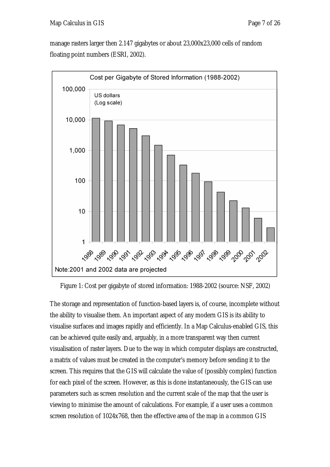manage rasters larger then 2.147 gigabytes or about 23,000x23,000 cells of random floating point numbers (ESRI, 2002).





The storage and representation of function-based layers is, of course, incomplete without the ability to visualise them. An important aspect of any modern GIS is its ability to visualise surfaces and images rapidly and efficiently. In a Map Calculus-enabled GIS, this can be achieved quite easily and, arguably, in a more transparent way then current visualisation of raster layers. Due to the way in which computer displays are constructed, a matrix of values must be created in the computer's memory before sending it to the screen. This requires that the GIS will calculate the value of (possibly complex) function for each pixel of the screen. However, as this is done instantaneously, the GIS can use parameters such as screen resolution and the current scale of the map that the user is viewing to minimise the amount of calculations. For example, if a user uses a common screen resolution of 1024x768, then the effective area of the map in a common GIS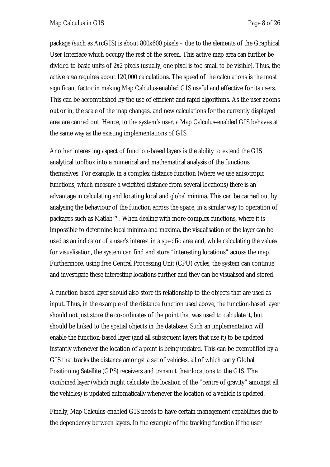package (such as ArcGIS) is about 800x600 pixels – due to the elements of the Graphical User Interface which occupy the rest of the screen. This active map area can further be divided to basic units of 2x2 pixels (usually, one pixel is too small to be visible). Thus, the active area requires about 120,000 calculations. The speed of the calculations is the most significant factor in making Map Calculus-enabled GIS useful and effective for its users. This can be accomplished by the use of efficient and rapid algorithms. As the user zooms out or in, the scale of the map changes, and new calculations for the currently displayed area are carried out. Hence, to the system's user, a Map Calculus-enabled GIS behaves at the same way as the existing implementations of GIS.

Another interesting aspect of function-based layers is the ability to extend the GIS analytical toolbox into a numerical and mathematical analysis of the functions themselves. For example, in a complex distance function (where we use anisotropic functions, which measure a weighted distance from several locations) there is an advantage in calculating and locating local and global minima. This can be carried out by analysing the behaviour of the function across the space, in a similar way to operation of packages such as Matlab™. When dealing with more complex functions, where it is impossible to determine local minima and maxima, the visualisation of the layer can be used as an indicator of a user's interest in a specific area and, while calculating the values for visualisation, the system can find and store "interesting locations" across the map. Furthermore, using free Central Processing Unit (CPU) cycles, the system can continue and investigate these interesting locations further and they can be visualised and stored.

A function-based layer should also store its relationship to the objects that are used as input. Thus, in the example of the distance function used above, the function-based layer should not just store the co-ordinates of the point that was used to calculate it, but should be linked to the spatial objects in the database. Such an implementation will enable the function-based layer (and all subsequent layers that use it) to be updated instantly whenever the location of a point is being updated. This can be exemplified by a GIS that tracks the distance amongst a set of vehicles, all of which carry Global Positioning Satellite (GPS) receivers and transmit their locations to the GIS. The combined layer (which might calculate the location of the "centre of gravity" amongst all the vehicles) is updated automatically whenever the location of a vehicle is updated.

Finally, Map Calculus-enabled GIS needs to have certain management capabilities due to the dependency between layers. In the example of the tracking function if the user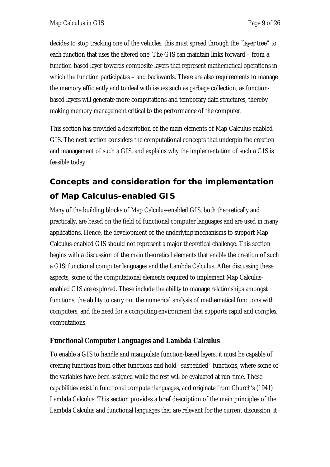decides to stop tracking one of the vehicles, this must spread through the "layer tree" to each function that uses the altered one. The GIS can maintain links forward – from a function-based layer towards composite layers that represent mathematical operations in which the function participates – and backwards. There are also requirements to manage the memory efficiently and to deal with issues such as garbage collection, as functionbased layers will generate more computations and temporary data structures, thereby making memory management critical to the performance of the computer.

This section has provided a description of the main elements of Map Calculus-enabled GIS. The next section considers the computational concepts that underpin the creation and management of such a GIS, and explains why the implementation of such a GIS is feasible today.

# *Concepts and consideration for the implementation of Map Calculus-enabled GIS*

Many of the building blocks of Map Calculus-enabled GIS, both theoretically and practically, are based on the field of functional computer languages and are used in many applications. Hence, the development of the underlying mechanisms to support Map Calculus-enabled GIS should not represent a major theoretical challenge. This section begins with a discussion of the main theoretical elements that enable the creation of such a GIS: functional computer languages and the Lambda Calculus. After discussing these aspects, some of the computational elements required to implement Map Calculusenabled GIS are explored. These include the ability to manage relationships amongst functions, the ability to carry out the numerical analysis of mathematical functions with computers, and the need for a computing environment that supports rapid and complex computations.

#### **Functional Computer Languages and Lambda Calculus**

To enable a GIS to handle and manipulate function-based layers, it must be capable of creating functions from other functions and hold "suspended" functions, where some of the variables have been assigned while the rest will be evaluated at run-time. These capabilities exist in functional computer languages, and originate from Church's (1941) Lambda Calculus. This section provides a brief description of the main principles of the Lambda Calculus and functional languages that are relevant for the current discussion; it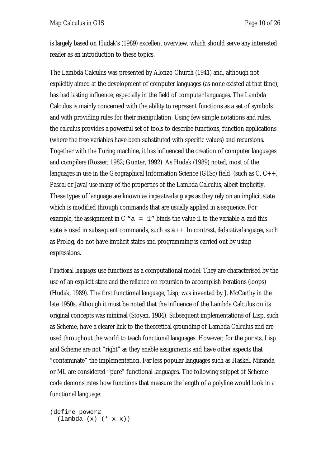is largely based on Hudak's (1989) excellent overview, which should serve any interested reader as an introduction to these topics.

The Lambda Calculus was presented by Alonzo Church (1941) and, although not explicitly aimed at the development of computer languages (as none existed at that time), has had lasting influence, especially in the field of computer languages. The Lambda Calculus is mainly concerned with the ability to represent functions as a set of symbols and with providing rules for their manipulation. Using few simple notations and rules, the calculus provides a powerful set of tools to describe functions, function applications (where the free variables have been substituted with specific values) and recursions. Together with the Turing machine, it has influenced the creation of computer languages and compilers (Rosser, 1982; Gunter, 1992). As Hudak (1989) noted, most of the languages in use in the Geographical Information Science (GISc) field (such as  $C, C++,$ Pascal or Java) use many of the properties of the Lambda Calculus, albeit implicitly. These types of language are known as *imperative languages* as they rely on an implicit state which is modified through commands that are usually applied in a sequence. For example, the assignment in C  $^{\circ}$  a = 1" binds the value 1 to the variable a and this state is used in subsequent commands, such as a++. In contrast, *declarative languages*, such as Prolog, do not have implicit states and programming is carried out by using expressions.

*Functional languages* use functions as a computational model. They are characterised by the use of an explicit state and the reliance on recursion to accomplish iterations (loops) (Hudak, 1989). The first functional language, Lisp, was invented by J. McCarthy in the late 1950s, although it must be noted that the influence of the Lambda Calculus on its original concepts was minimal (Stoyan, 1984). Subsequent implementations of Lisp, such as Scheme, have a clearer link to the theoretical grounding of Lambda Calculus and are used throughout the world to teach functional languages. However, for the purists, Lisp and Scheme are not "right" as they enable assignments and have other aspects that "contaminate" the implementation. Far less popular languages such as Haskel, Miranda or ML are considered "pure" functional languages. The following snippet of Scheme code demonstrates how functions that measure the length of a polyline would look in a functional language:

(define power2 (lambda (x) (\* x x))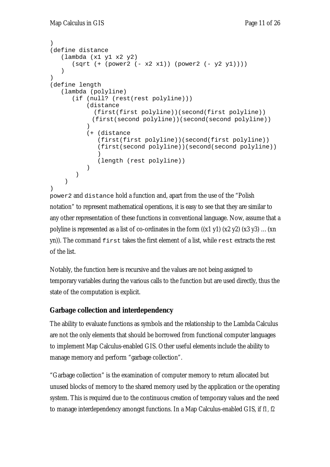```
) 
(define distance 
    (lambda (x1 y1 x2 y2) 
      (sqrt (+ (power2 (- x2 x1)) (power2 (- y2 y1)))) ) 
) 
(define length 
    (lambda (polyline) 
       (if (null? (rest(rest polyline))) 
           (distance 
             (first(first polyline))(second(first polyline)) 
            (first(second polyline))(second(second polyline)) 
 ) 
           (+ (distance 
              (first(first polyline))(second(first polyline)) 
              (first(second polyline))(second(second polyline)) 
 ) 
              (length (rest polyline)) 
 ) 
        ) 
     ) 
)
```
power2 and distance hold a function and, apart from the use of the "Polish notation" to represent mathematical operations, it is easy to see that they are similar to any other representation of these functions in conventional language. Now, assume that a polyline is represented as a list of co-ordinates in the form  $((x1 y1) (x2 y2) (x3 y3)$  ... $(xn)$  $y_n$ ). The command  $f$ irst takes the first element of a list, while rest extracts the rest of the list.

Notably, the function here is recursive and the values are not being assigned to temporary variables during the various calls to the function but are used directly, thus the state of the computation is explicit.

#### **Garbage collection and interdependency**

The ability to evaluate functions as symbols and the relationship to the Lambda Calculus are not the only elements that should be borrowed from functional computer languages to implement Map Calculus-enabled GIS. Other useful elements include the ability to manage memory and perform "garbage collection".

"Garbage collection" is the examination of computer memory to return allocated but unused blocks of memory to the shared memory used by the application or the operating system. This is required due to the continuous creation of temporary values and the need to manage interdependency amongst functions. In a Map Calculus-enabled GIS, if *f1, f2*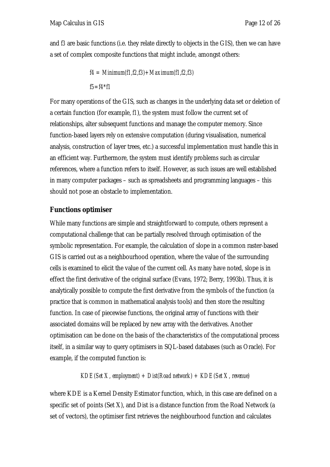and *f3* are basic functions (i.e. they relate directly to objects in the GIS), then we can have a set of complex composite functions that might include, amongst others:

> *f4 = Minimum(f1,f2,f3)+Maximum(f1,f2,f3) f5=f4\*f1*

For many operations of the GIS, such as changes in the underlying data set or deletion of a certain function (for example, *f1*), the system must follow the current set of relationships, alter subsequent functions and manage the computer memory. Since function-based layers rely on extensive computation (during visualisation, numerical analysis, construction of layer trees, etc.) a successful implementation must handle this in an efficient way. Furthermore, the system must identify problems such as circular references, where a function refers to itself. However, as such issues are well established in many computer packages – such as spreadsheets and programming languages – this should not pose an obstacle to implementation.

#### **Functions optimiser**

While many functions are simple and straightforward to compute, others represent a computational challenge that can be partially resolved through optimisation of the symbolic representation. For example, the calculation of slope in a common raster-based GIS is carried out as a neighbourhood operation, where the value of the surrounding cells is examined to elicit the value of the current cell. As many have noted, slope is in effect the first derivative of the original surface (Evans, 1972; Berry, 1993b). Thus, it is analytically possible to compute the first derivative from the symbols of the function (a practice that is common in mathematical analysis tools) and then store the resulting function. In case of piecewise functions, the original array of functions with their associated domains will be replaced by new array with the derivatives. Another optimisation can be done on the basis of the characteristics of the computational process itself, in a similar way to query optimisers in SQL-based databases (such as Oracle). For example, if the computed function is:

#### *KDE(Set X, employment) + Dist(Road network) + KDE(Set X, revenue)*

where KDE is a Kernel Density Estimator function, which, in this case are defined on a specific set of points (Set X), and Dist is a distance function from the Road Network (a set of vectors), the optimiser first retrieves the neighbourhood function and calculates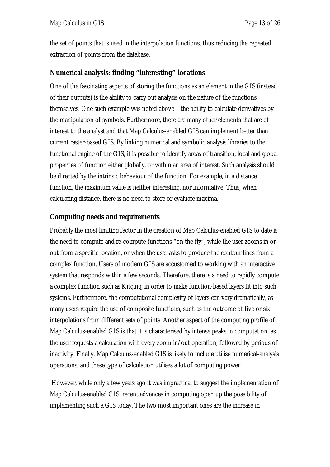the set of points that is used in the interpolation functions, thus reducing the repeated extraction of points from the database.

#### **Numerical analysis: finding "interesting" locations**

One of the fascinating aspects of storing the functions as an element in the GIS (instead of their outputs) is the ability to carry out analysis on the nature of the functions themselves. One such example was noted above – the ability to calculate derivatives by the manipulation of symbols. Furthermore, there are many other elements that are of interest to the analyst and that Map Calculus-enabled GIS can implement better than current raster-based GIS. By linking numerical and symbolic analysis libraries to the functional engine of the GIS, it is possible to identify areas of transition, local and global properties of function either globally, or within an area of interest. Such analysis should be directed by the intrinsic behaviour of the function. For example, in a distance function, the maximum value is neither interesting, nor informative. Thus, when calculating distance, there is no need to store or evaluate maxima.

#### **Computing needs and requirements**

Probably the most limiting factor in the creation of Map Calculus-enabled GIS to date is the need to compute and re-compute functions "on the fly", while the user zooms in or out from a specific location, or when the user asks to produce the contour lines from a complex function. Users of modern GIS are accustomed to working with an interactive system that responds within a few seconds. Therefore, there is a need to rapidly compute a complex function such as Kriging, in order to make function-based layers fit into such systems. Furthermore, the computational complexity of layers can vary dramatically, as many users require the use of composite functions, such as the outcome of five or six interpolations from different sets of points. Another aspect of the computing profile of Map Calculus-enabled GIS is that it is characterised by intense peaks in computation, as the user requests a calculation with every zoom in/out operation, followed by periods of inactivity. Finally, Map Calculus-enabled GIS is likely to include utilise numerical-analysis operations, and these type of calculation utilises a lot of computing power.

 However, while only a few years ago it was impractical to suggest the implementation of Map Calculus-enabled GIS, recent advances in computing open up the possibility of implementing such a GIS today. The two most important ones are the increase in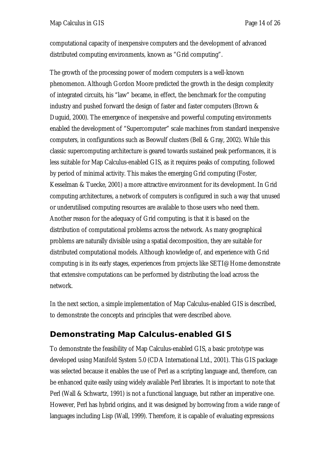computational capacity of inexpensive computers and the development of advanced distributed computing environments, known as "Grid computing".

The growth of the processing power of modern computers is a well-known phenomenon. Although Gordon Moore predicted the growth in the design complexity of integrated circuits, his "law" became, in effect, the benchmark for the computing industry and pushed forward the design of faster and faster computers (Brown & Duguid, 2000). The emergence of inexpensive and powerful computing environments enabled the development of "Supercomputer" scale machines from standard inexpensive computers, in configurations such as Beowulf clusters (Bell & Gray, 2002). While this classic supercomputing architecture is geared towards sustained peak performances, it is less suitable for Map Calculus-enabled GIS, as it requires peaks of computing, followed by period of minimal activity. This makes the emerging Grid computing (Foster, Kesselman & Tuecke, 2001) a more attractive environment for its development. In Grid computing architectures, a network of computers is configured in such a way that unused or underutilised computing resources are available to those users who need them. Another reason for the adequacy of Grid computing, is that it is based on the distribution of computational problems across the network. As many geographical problems are naturally divisible using a spatial decomposition, they are suitable for distributed computational models. Although knowledge of, and experience with Grid computing is in its early stages, experiences from projects like SETI@Home demonstrate that extensive computations can be performed by distributing the load across the network.

In the next section, a simple implementation of Map Calculus-enabled GIS is described, to demonstrate the concepts and principles that were described above.

## *Demonstrating Map Calculus-enabled GIS*

To demonstrate the feasibility of Map Calculus-enabled GIS, a basic prototype was developed using Manifold System 5.0 (CDA International Ltd., 2001). This GIS package was selected because it enables the use of Perl as a scripting language and, therefore, can be enhanced quite easily using widely available Perl libraries. It is important to note that Perl (Wall & Schwartz, 1991) is not a functional language, but rather an imperative one. However, Perl has hybrid origins, and it was designed by borrowing from a wide range of languages including Lisp (Wall, 1999). Therefore, it is capable of evaluating expressions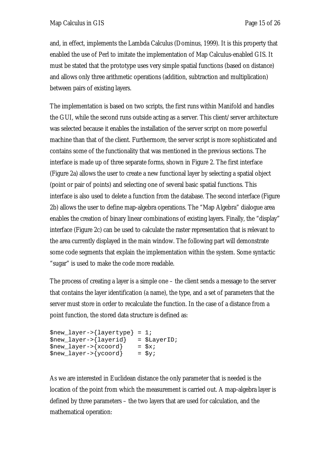and, in effect, implements the Lambda Calculus (Dominus, 1999). It is this property that enabled the use of Perl to imitate the implementation of Map Calculus-enabled GIS. It must be stated that the prototype uses very simple spatial functions (based on distance) and allows only three arithmetic operations (addition, subtraction and multiplication) between pairs of existing layers.

The implementation is based on two scripts, the first runs within Manifold and handles the GUI, while the second runs outside acting as a server. This client/server architecture was selected because it enables the installation of the server script on more powerful machine than that of the client. Furthermore, the server script is more sophisticated and contains some of the functionality that was mentioned in the previous sections. The interface is made up of three separate forms, shown in Figure 2. The first interface (Figure 2a) allows the user to create a new functional layer by selecting a spatial object (point or pair of points) and selecting one of several basic spatial functions. This interface is also used to delete a function from the database. The second interface (Figure 2b) allows the user to define map-algebra operations. The "Map Algebra" dialogue area enables the creation of binary linear combinations of existing layers. Finally, the "display" interface (Figure 2c) can be used to calculate the raster representation that is relevant to the area currently displayed in the main window. The following part will demonstrate some code segments that explain the implementation within the system. Some syntactic "sugar" is used to make the code more readable.

The process of creating a layer is a simple one – the client sends a message to the server that contains the layer identification (a name), the type, and a set of parameters that the server must store in order to recalculate the function. In the case of a distance from a point function, the stored data structure is defined as:

```
$new_layer->{layertype} = 1; 
$new_layer->{layerid} = $LayerID; 
$new_layer->{xcoord} = $x;<br>
$new layer->{ycoord} = $y;$new\_layer->{ycoord}
```
As we are interested in Euclidean distance the only parameter that is needed is the location of the point from which the measurement is carried out. A map-algebra layer is defined by three parameters – the two layers that are used for calculation, and the mathematical operation: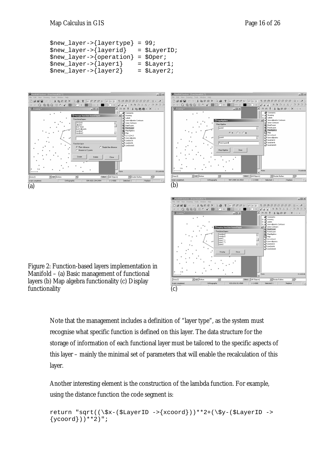```
$new_layer->{layertype} = 99; 
$new_layer->{layerid} = $LayerID; 
$new_layer->{operation} = $Oper; 
$new layer->{layer1} = $Layer1;$new_layer->{layer2}$ = $Layer2$;
```


Note that the management includes a definition of "layer type", as the system must recognise what specific function is defined on this layer. The data structure for the storage of information of each functional layer must be tailored to the specific aspects of this layer – mainly the minimal set of parameters that will enable the recalculation of this layer.

Another interesting element is the construction of the lambda function. For example, using the distance function the code segment is:

```
return "sqrt((\frac{\xi}{\xi}-(\frac{\xi}{\xi}LayerID ->\frac{\xi}{\xi}xcoord)) **2+(\frac{\xi}{\xi}-(\frac{\xi}{\xi}LayerID ->
\{ycoord\}) **2)";
```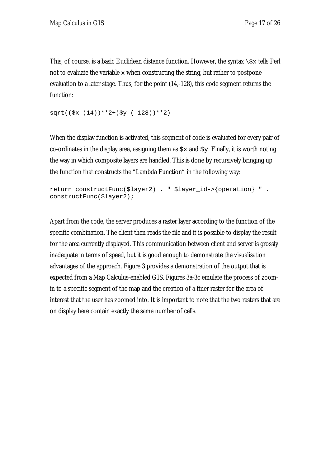This, of course, is a basic Euclidean distance function. However, the syntax  $\zeta x$  tells Perl not to evaluate the variable  $x$  when constructing the string, but rather to postpone evaluation to a later stage. Thus, for the point (14,-128), this code segment returns the function:

 $sqrt((\$x-(14))**2+(\$y-(-128))**2)$ 

When the display function is activated, this segment of code is evaluated for every pair of co-ordinates in the display area, assigning them as  $sx$  and  $sy$ . Finally, it is worth noting the way in which composite layers are handled. This is done by recursively bringing up the function that constructs the "Lambda Function" in the following way:

```
return constructFunc($layer2) . " $layer_id->{operation} " . 
constructFunc($layer2);
```
Apart from the code, the server produces a raster layer according to the function of the specific combination. The client then reads the file and it is possible to display the result for the area currently displayed. This communication between client and server is grossly inadequate in terms of speed, but it is good enough to demonstrate the visualisation advantages of the approach. Figure 3 provides a demonstration of the output that is expected from a Map Calculus-enabled GIS. Figures 3a-3c emulate the process of zoomin to a specific segment of the map and the creation of a finer raster for the area of interest that the user has zoomed into. It is important to note that the two rasters that are on display here contain exactly the same number of cells.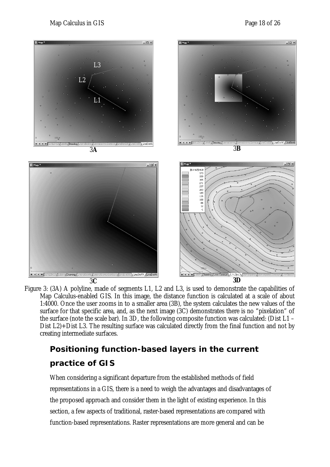

Figure 3: (3A) A polyline, made of segments L1, L2 and L3, is used to demonstrate the capabilities of Map Calculus-enabled GIS. In this image, the distance function is calculated at a scale of about 1:4000. Once the user zooms in to a smaller area (3B), the system calculates the new values of the surface for that specific area, and, as the next image (3C) demonstrates there is no "pixelation" of the surface (note the scale bar). In 3D, the following composite function was calculated: (Dist L1 – Dist L2)+Dist L3. The resulting surface was calculated directly from the final function and not by creating intermediate surfaces.

# *Positioning function-based layers in the current practice of GIS*

When considering a significant departure from the established methods of field representations in a GIS, there is a need to weigh the advantages and disadvantages of the proposed approach and consider them in the light of existing experience. In this section, a few aspects of traditional, raster-based representations are compared with function-based representations. Raster representations are more general and can be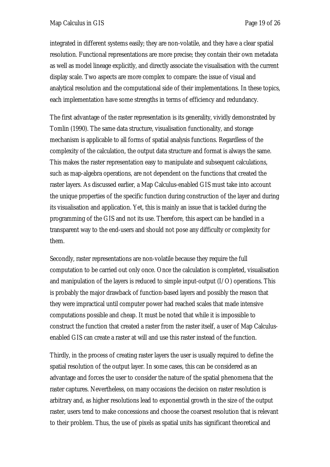integrated in different systems easily; they are non-volatile, and they have a clear spatial resolution. Functional representations are more precise; they contain their own metadata as well as model lineage explicitly, and directly associate the visualisation with the current display scale. Two aspects are more complex to compare: the issue of visual and analytical resolution and the computational side of their implementations. In these topics, each implementation have some strengths in terms of efficiency and redundancy.

The first advantage of the raster representation is its generality, vividly demonstrated by Tomlin (1990). The same data structure, visualisation functionality, and storage mechanism is applicable to all forms of spatial analysis functions. Regardless of the complexity of the calculation, the output data structure and format is always the same. This makes the raster representation easy to manipulate and subsequent calculations, such as map-algebra operations, are not dependent on the functions that created the raster layers. As discussed earlier, a Map Calculus-enabled GIS must take into account the unique properties of the specific function during construction of the layer and during its visualisation and application. Yet, this is mainly an issue that is tackled during the programming of the GIS and not its use. Therefore, this aspect can be handled in a transparent way to the end-users and should not pose any difficulty or complexity for them.

Secondly, raster representations are non-volatile because they require the full computation to be carried out only once. Once the calculation is completed, visualisation and manipulation of the layers is reduced to simple input-output (I/O) operations. This is probably the major drawback of function-based layers and possibly the reason that they were impractical until computer power had reached scales that made intensive computations possible and cheap. It must be noted that while it is impossible to construct the function that created a raster from the raster itself, a user of Map Calculusenabled GIS can create a raster at will and use this raster instead of the function.

Thirdly, in the process of creating raster layers the user is usually required to define the spatial resolution of the output layer. In some cases, this can be considered as an advantage and forces the user to consider the nature of the spatial phenomena that the raster captures. Nevertheless, on many occasions the decision on raster resolution is arbitrary and, as higher resolutions lead to exponential growth in the size of the output raster, users tend to make concessions and choose the coarsest resolution that is relevant to their problem. Thus, the use of pixels as spatial units has significant theoretical and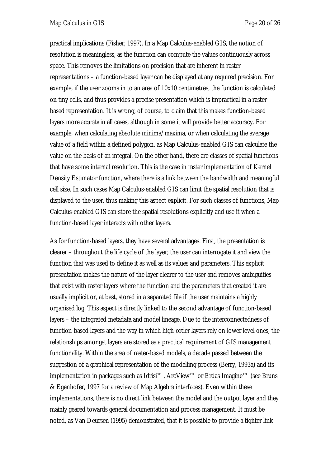practical implications (Fisher, 1997). In a Map Calculus-enabled GIS, the notion of resolution is meaningless, as the function can compute the values continuously across space. This removes the limitations on precision that are inherent in raster representations – a function-based layer can be displayed at any required precision. For example, if the user zooms in to an area of 10x10 centimetres, the function is calculated on tiny cells, and thus provides a precise presentation which is impractical in a rasterbased representation. It is wrong, of course, to claim that this makes function-based layers more *accurate* in all cases, although in some it will provide better accuracy. For example, when calculating absolute minima/maxima, or when calculating the average value of a field within a defined polygon, as Map Calculus-enabled GIS can calculate the value on the basis of an integral. On the other hand, there are classes of spatial functions that have some internal resolution. This is the case in raster implementation of Kernel Density Estimator function, where there is a link between the bandwidth and meaningful cell size. In such cases Map Calculus-enabled GIS can limit the spatial resolution that is displayed to the user, thus making this aspect explicit. For such classes of functions, Map Calculus-enabled GIS can store the spatial resolutions explicitly and use it when a function-based layer interacts with other layers.

As for function-based layers, they have several advantages. First, the presentation is clearer – throughout the life cycle of the layer, the user can interrogate it and view the function that was used to define it as well as its values and parameters. This explicit presentation makes the nature of the layer clearer to the user and removes ambiguities that exist with raster layers where the function and the parameters that created it are usually implicit or, at best, stored in a separated file if the user maintains a highly organised log. This aspect is directly linked to the second advantage of function-based layers – the integrated metadata and model lineage. Due to the interconnectedness of function-based layers and the way in which high-order layers rely on lower level ones, the relationships amongst layers are stored as a practical requirement of GIS management functionality. Within the area of raster-based models, a decade passed between the suggestion of a graphical representation of the modelling process (Berry, 1993a) and its implementation in packages such as Idrisi™, ArcView™ or Erdas Imagine™ (see Bruns & Egenhofer, 1997 for a review of Map Algebra interfaces). Even within these implementations, there is no direct link between the model and the output layer and they mainly geared towards general documentation and process management. It must be noted, as Van Deursen (1995) demonstrated, that it is possible to provide a tighter link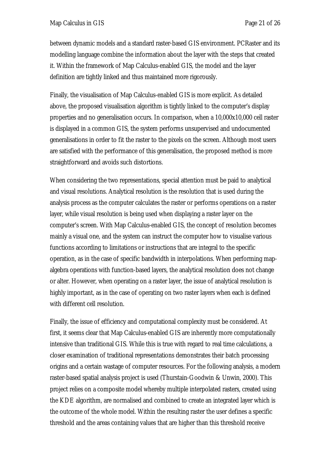between dynamic models and a standard raster-based GIS environment. PCRaster and its modelling language combine the information about the layer with the steps that created it. Within the framework of Map Calculus-enabled GIS, the model and the layer definition are tightly linked and thus maintained more rigorously.

Finally, the visualisation of Map Calculus-enabled GIS is more explicit. As detailed above, the proposed visualisation algorithm is tightly linked to the computer's display properties and no generalisation occurs. In comparison, when a 10,000x10,000 cell raster is displayed in a common GIS, the system performs unsupervised and undocumented generalisations in order to fit the raster to the pixels on the screen. Although most users are satisfied with the performance of this generalisation, the proposed method is more straightforward and avoids such distortions.

When considering the two representations, special attention must be paid to analytical and visual resolutions. Analytical resolution is the resolution that is used during the analysis process as the computer calculates the raster or performs operations on a raster layer, while visual resolution is being used when displaying a raster layer on the computer's screen. With Map Calculus-enabled GIS, the concept of resolution becomes mainly a visual one, and the system can instruct the computer how to visualise various functions according to limitations or instructions that are integral to the specific operation, as in the case of specific bandwidth in interpolations. When performing mapalgebra operations with function-based layers, the analytical resolution does not change or alter. However, when operating on a raster layer, the issue of analytical resolution is highly important, as in the case of operating on two raster layers when each is defined with different cell resolution.

Finally, the issue of efficiency and computational complexity must be considered. At first, it seems clear that Map Calculus-enabled GIS are inherently more computationally intensive than traditional GIS. While this is true with regard to real time calculations, a closer examination of traditional representations demonstrates their batch processing origins and a certain wastage of computer resources. For the following analysis, a modern raster-based spatial analysis project is used (Thurstain-Goodwin & Unwin, 2000). This project relies on a composite model whereby multiple interpolated rasters, created using the KDE algorithm, are normalised and combined to create an integrated layer which is the outcome of the whole model. Within the resulting raster the user defines a specific threshold and the areas containing values that are higher than this threshold receive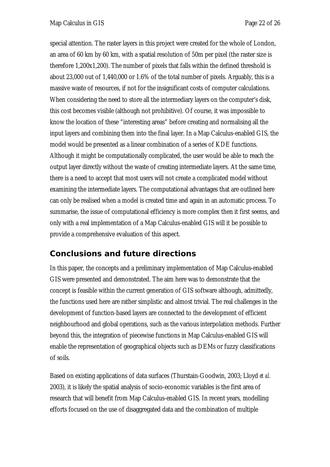special attention. The raster layers in this project were created for the whole of London, an area of 60 km by 60 km, with a spatial resolution of 50m per pixel (the raster size is therefore 1,200x1,200). The number of pixels that falls within the defined threshold is about 23,000 out of 1,440,000 or 1.6% of the total number of pixels. Arguably, this is a massive waste of resources, if not for the insignificant costs of computer calculations. When considering the need to store all the intermediary layers on the computer's disk, this cost becomes visible (although not prohibitive). Of course, it was impossible to know the location of these "interesting areas" before creating and normalising all the input layers and combining them into the final layer. In a Map Calculus-enabled GIS, the model would be presented as a linear combination of a series of KDE functions. Although it might be computationally complicated, the user would be able to reach the output layer directly without the waste of creating intermediate layers. At the same time, there is a need to accept that most users will not create a complicated model without examining the intermediate layers. The computational advantages that are outlined here can only be realised when a model is created time and again in an automatic process. To summarise, the issue of computational efficiency is more complex then it first seems, and only with a real implementation of a Map Calculus-enabled GIS will it be possible to provide a comprehensive evaluation of this aspect.

## *Conclusions and future directions*

In this paper, the concepts and a preliminary implementation of Map Calculus-enabled GIS were presented and demonstrated. The aim here was to demonstrate that the concept is feasible within the current generation of GIS software although, admittedly, the functions used here are rather simplistic and almost trivial. The real challenges in the development of function-based layers are connected to the development of efficient neighbourhood and global operations, such as the various interpolation methods. Further beyond this, the integration of piecewise functions in Map Calculus-enabled GIS will enable the representation of geographical objects such as DEMs or fuzzy classifications of soils.

Based on existing applications of data surfaces (Thurstain-Goodwin, 2003; Lloyd *et al.* 2003), it is likely the spatial analysis of socio-economic variables is the first area of research that will benefit from Map Calculus-enabled GIS. In recent years, modelling efforts focused on the use of disaggregated data and the combination of multiple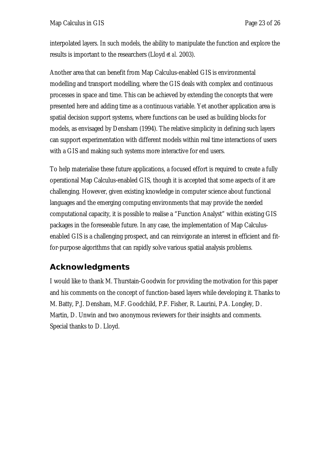interpolated layers. In such models, the ability to manipulate the function and explore the results is important to the researchers (Lloyd *et al.* 2003).

Another area that can benefit from Map Calculus-enabled GIS is environmental modelling and transport modelling, where the GIS deals with complex and continuous processes in space and time. This can be achieved by extending the concepts that were presented here and adding time as a continuous variable. Yet another application area is spatial decision support systems, where functions can be used as building blocks for models, as envisaged by Densham (1994). The relative simplicity in defining such layers can support experimentation with different models within real time interactions of users with a GIS and making such systems more interactive for end users.

To help materialise these future applications, a focused effort is required to create a fully operational Map Calculus-enabled GIS, though it is accepted that some aspects of it are challenging. However, given existing knowledge in computer science about functional languages and the emerging computing environments that may provide the needed computational capacity, it is possible to realise a "Function Analyst" within existing GIS packages in the foreseeable future. In any case, the implementation of Map Calculusenabled GIS is a challenging prospect, and can reinvigorate an interest in efficient and fitfor-purpose algorithms that can rapidly solve various spatial analysis problems.

## *Acknowledgments*

I would like to thank M. Thurstain-Goodwin for providing the motivation for this paper and his comments on the concept of function-based layers while developing it. Thanks to M. Batty, P.J. Densham, M.F. Goodchild, P.F. Fisher, R. Laurini, P.A. Longley, D. Martin, D. Unwin and two anonymous reviewers for their insights and comments. Special thanks to D. Lloyd.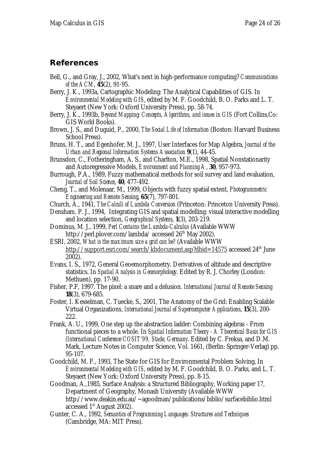### *References*

- Bell, G., and Gray, J., 2002, What's next in high-performance computing? *Communications of the ACM*, **45**(2), 91-95.
- Berry, J. K., 1993a, Cartographic Modeling: The Analytical Capabilities of GIS. In *Environmental Modeling with GIS*, edited by M. F. Goodchild, B. O. Parks and L. T. Steyaert (New York: Oxford University Press), pp. 58-74.
- Berry, J. K., 1993b, *Beyond Mapping: Concepts, Algorithms, and issues in GIS* (Fort Collins,Co: GIS World Books).
- Brown, J. S., and Duguid, P., 2000, *The Social Life of Information* (Boston: Harvard Business School Press).
- Bruns, H. T., and Egenhofer, M. J., 1997, User Interfaces for Map Algebra, *Journal of the Urban and Regional Information Systems Association* **9**(1), 44-45.
- Brunsdon, C., Fotheringham, A. S., and Charlton, M.E., 1998, Spatial Nonstationarity and Autoregressive Models, *Environment and Planning A*, **30**, 957-973.
- Burrough, P.A., 1989, Fuzzy mathematical methods for soil survey and land evaluation, *Journal of Soil Science*, **40**, 477-492.
- Cheng, T., and Molenaar, M., 1999, Objects with fuzzy spatial extent, *Photogrammetric Engineering and Remote Sensing*, **65**(7), 797-801.
- Church, A., 1941, *The Calculi of Lambda Conversion* (Princeton: Princeton University Press).
- Densham, P. J., 1994, Integrating GIS and spatial modelling: visual interactive modelling and location selection, *Geographical Systems*, **1**(3), 203-219.
- Dominus, M. J., 1999, *Perl Contains the Lambda-Calculus* (Available WWW http://perl.plover.com/lambda/ accessed 26<sup>th</sup> May 2002).
- ESRI, 2002, *What is the maximum size a grid can be?* (Available WWW http://support.esri.com/search/kbdocument.asp?dbid=14575 accessed 24<sup>th</sup> June 2002).
- Evans, I. S., 1972, General Geoemorphometry. Derivatives of altitude and descriptive statistics. In *Spatial Analysis in Geomorphology*. Edited by R. J. Chorley (London: Methuen), pp. 17-90.
- Fisher, P.F, 1997. The pixel: a snare and a delusion. *International Journal of Remote Sensing* **18**(3), 679-685.
- Foster, I. Kesselman, C. Tuecke, S., 2001, The Anatomy of the Grid: Enabling Scalable Virtual Organizations, *International Journal of Supercomputer Applications*, **15**(3), 200- 222.
- Frank, A. U., 1999, One step up the abstraction ladder: Combining algebras From functional pieces to a whole. In *Spatial Information Theory - A Theoretical Basis for GIS (International Conference COSIT'99, Stade, Germany*. Edited by C. Freksa, and D.M. Mark, Lecture Notes in Computer Science, Vol. 1661, (Berlin: Springer-Verlag) pp. 95-107.
- Goodchild, M. F., 1993, The State for GIS for Environmental Problem Solving, In *Environmental Modeling with GIS*, edited by M. F. Goodchild, B. O. Parks, and L. T. Steyaert (New York: Oxford University Press), pp. 8-15.
- Goodman, A.,1985, Surface Analysis: a Structured Bibliography, Working paper 17, Department of Geography, Monash University (Available WWW http://www.deakin.edu.au/~agoodman/publications/biblio/surfacebiblio.html accessed 1<sup>st</sup> August 2002).
- Gunter, C. A., 1992, *Semantics of Programming Languages: Structures and Techniques*  (Cambridge, MA: MIT Press).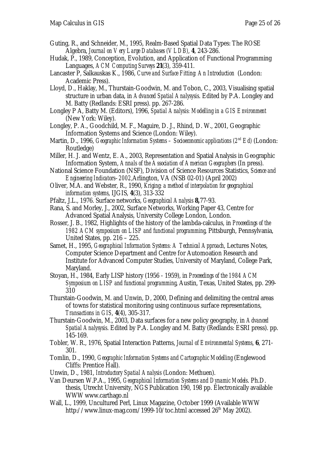- Guting, R., and Schneider, M., 1995, Realm-Based Spatial Data Types: The ROSE Algebra, *Journal on Very Large Databases (VLDB)*, **4**, 243-286.
- Hudak, P., 1989, Conception, Evolution, and Application of Functional Programming Languages, *ACM Computing Surveys* **21**(3), 359-411.
- Lancaster P, Salkauskas K., 1986, *Curve and Surface Fitting: An Introduction* (London: Academic Press).
- Lloyd, D., Haklay, M., Thurstain-Goodwin, M. and Tobon, C., 2003, Visualising spatial structure in urban data, in *Advanced Spatial Analysysis*. Edited by P.A. Longley and M. Batty (Redlands: ESRI press). pp. 267-286.
- Longley P A, Batty M. (Editors), 1996, *Spatial Analysis: Modelling in a GIS Environment* (New York: Wiley).
- Longley, P. A., Goodchild, M. F., Maguire, D. J., Rhind, D. W., 2001, Geographic Information Systems and Science (London: Wiley).
- Martin, D., 1996, *Geographic Information Systems Socioeconomic applications (2<sup>nd</sup> Ed)* (London: Routledge)
- Miller, H. J. and Wentz, E. A., 2003, Representation and Spatial Analysis in Geographic Information System, *Annals of the Association of American Geographers* (In press).
- National Science Foundation (NSF), Division of Science Resources Statistics, *Science and Engineering Indicators–2002,*Arlington, VA (NSB 02-01) (April 2002)
- Oliver, M.A. and Webster, R., 1990, *Kriging: a method of interpolation for geographical information systems*, IJGIS, **4**(3), 313-332
- Pfaltz, J.L., 1976. Surface networks, *Geographical Analysis* **8,**77-93.
- Rana, S. and Morley, J., 2002, Surface Networks, Working Paper 43, Centre for Advanced Spatial Analysis, University College London, London.
- Rosser, J. B., 1982, Highlights of the history of the lambda-calculus, in *Proceedings of the 1982 ACM symposium on LISP and functional programming*, Pittsburgh, Pennsylvania, United States, pp. 216 – 225.
- Samet, H., 1995, *Geographical Information Systems: A Technical Approach*, Lectures Notes, Computer Science Department and Centre for Automoation Research and Institute for Advanced Computer Studies, University of Maryland, College Park, Maryland.
- Stoyan, H., 1984, Early LISP history (1956 1959), in *Proceedings of the 1984 ACM Symposium on LISP and functional programming*, Austin, Texas, United States, pp. 299- 310
- Thurstain-Goodwin, M. and Unwin, D, 2000, Defining and delimiting the central areas of towns for statistical monitoring using continuous surface representations, *Transactions in GIS*, **4**(4), 305-317.
- Thurstain-Goodwin, M., 2003, Data surfaces for a new policy geography, in *Advanced Spatial Analysysis*. Edited by P.A. Longley and M. Batty (Redlands: ESRI press). pp. 145-169.
- Tobler, W. R., 1976, Spatial Interaction Patterns, *Journal of Environmental Systems*, **6**, 271- 301.
- Tomlin, D., 1990, *Geographic Information Systems and Cartographic Modelling* (Englewood Cliffs: Prentice Hall).
- Unwin, D., 1981, *Introductory Spatial Analysis* (London: Methuen).
- Van Deursen W.P.A., 1995, *Geographical Information Systems and Dynamic Models*. Ph.D. thesis, Utrecht University, NGS Publication 190, 198 pp. Electronically available WWW www.carthago.nl
- Wall, L., 1999, Uncultured Perl, Linux Magazine, October 1999 (Available WWW) http://www.linux-mag.com/1999-10/toc.html accessed 26<sup>th</sup> May 2002).